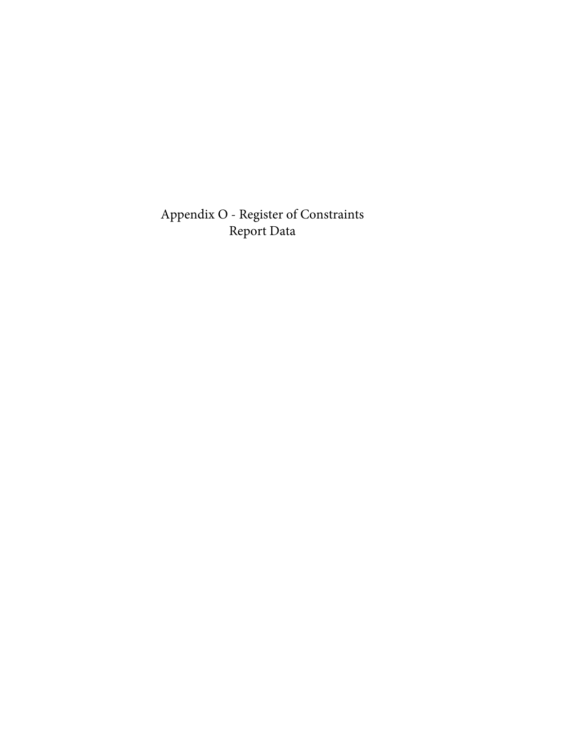Appendix O - Register of Constraints Report Data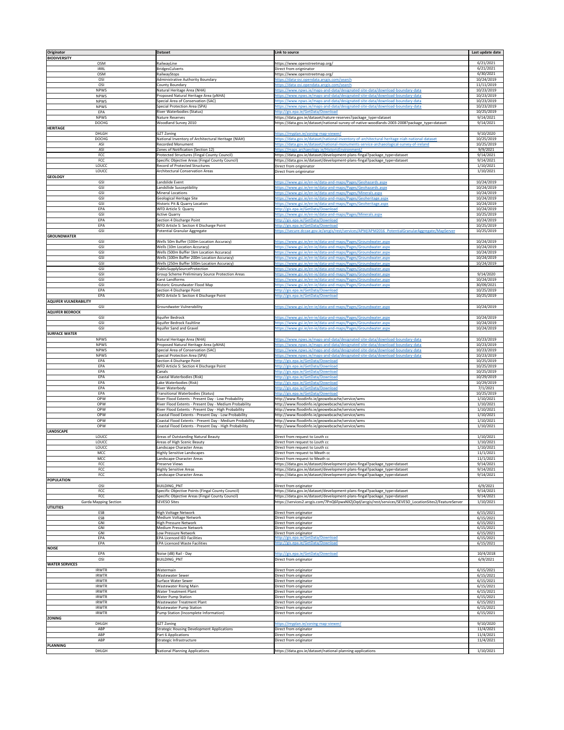| Originator                          | <b>Dataset</b>                                                                                                    | Link to source                                                                                                                                                 | Last update date         |
|-------------------------------------|-------------------------------------------------------------------------------------------------------------------|----------------------------------------------------------------------------------------------------------------------------------------------------------------|--------------------------|
| <b>BIODIVERSITY</b><br><b>OSM</b>   | RailwayLine                                                                                                       | https://www.openstreetmap.org/                                                                                                                                 | 6/21/2021                |
| <b>IRRL</b>                         | <b>BridgesCulverts</b>                                                                                            | Direct from origninator                                                                                                                                        | 6/21/2021                |
| <b>OSM</b>                          | RailwayStops                                                                                                      | https://www.openstreetmap.org/                                                                                                                                 | 6/30/2021                |
| OSI<br>OSI                          | <b>Administrative Authority Boundary</b><br>County Boundary                                                       | https://data-osi.opendata.arcgis.com/search<br>https://data-osi.opendata.arcgis.com/search                                                                     | 10/24/2019<br>11/11/2019 |
| <b>NPWS</b>                         | Natural Heritage Area (NHA)                                                                                       | https://www.npws.ie/maps-and-data/designated-site-data/download-boundary-data                                                                                  | 10/23/2019               |
| <b>NPWS</b>                         | Proposed Natural Heritage Area (pNHA)                                                                             | https://www.npws.ie/maps-and-data/designated-site-data/download-boundary-data                                                                                  | 10/23/2019               |
| <b>NPWS</b><br><b>NPWS</b>          | Special Area of Conservation (SAC)<br>Special Protection Area (SPA)                                               | https://www.npws.ie/maps-and-data/designated-site-data/download-boundary-data<br>https://www.npws.ie/maps-and-data/designated-site-data/download-boundary-data | 10/23/2019<br>10/23/2019 |
| EPA                                 | River Waterbodies (Status)                                                                                        | http://gis.epa.ie/GetData/Download                                                                                                                             | 10/25/2019               |
| <b>NPWS</b>                         | Nature Reserves                                                                                                   | https://data.gov.ie/dataset/nature-reserves?package_type=dataset                                                                                               | 9/14/2021                |
| <b>DOCHG</b><br><b>HERITAGE</b>     | Woodland Survey 2010                                                                                              | https://data.gov.ie/dataset/national-survey-of-native-woodlands-2003-2008?package_type=dataset                                                                 | 9/14/2021                |
| <b>DHLGH</b>                        | <b>GZT Zoning</b>                                                                                                 | https://myplan.ie/zoning-map-viewer/                                                                                                                           | 9/10/2020                |
| <b>DOCHG</b>                        | National Inventory of Architectural Heritage (NIAH)                                                               | https://data.gov.ie/dataset/national-inventory-of-architectural-heritage-niah-national-dataset                                                                 | 10/25/2019               |
| ASI<br>ASI                          | <b>Recorded Monument</b><br>Zones of Notification (Section 12)                                                    | https://data.gov.ie/dataset/national-monuments-service-archaeological-survey-of-ireland<br>https://maps.archaeology.ie/HistoricEnvironment/                    | 10/25/2019<br>9/9/2021   |
| <b>FCC</b>                          | Protected Structures (Fingal County Council)                                                                      | https://data.gov.ie/dataset/development-plans-fingal?package_type=dataset                                                                                      | 9/14/2021                |
| <b>FCC</b>                          | Specific Objective Areas (Fingal County Council)                                                                  | https://data.gov.ie/dataset/development-plans-fingal?package_type=dataset                                                                                      | 9/14/2021                |
| LOUCC<br>LOUCC                      | Record of Protected Structures<br><b>Architectural Conservation Areas</b>                                         | Direct from origninator                                                                                                                                        | 1/10/2021                |
| <b>GEOLOGY</b>                      |                                                                                                                   | Direct from origninator                                                                                                                                        | 1/10/2021                |
| GSI                                 | Landslide Event                                                                                                   | https://www.gsi.ie/en-ie/data-and-maps/Pages/Geohazards.aspx                                                                                                   | 10/24/2019               |
| GSI                                 | Landsllide Susceptibility                                                                                         | https://www.gsi.ie/en-ie/data-and-maps/Pages/Geohazards.aspx                                                                                                   | 10/24/2019               |
| <b>GSI</b><br>GSI                   | Mineral Locations<br>Geological Heritage Site                                                                     | https://www.gsi.ie/en-ie/data-and-maps/Pages/Minerals.aspx<br>https://www.gsi.ie/en-ie/data-and-maps/Pages/Geoheritage.aspx                                    | 10/24/2019<br>10/24/2019 |
| GSI                                 | Historic Pit & Quarry Location                                                                                    | https://www.gsi.ie/en-ie/data-and-maps/Pages/Geoheritage.aspx                                                                                                  | 10/24/2019               |
| EPA                                 | WFD Article 5: Quarry                                                                                             | http://gis.epa.ie/GetData/Download                                                                                                                             | 10/24/2019               |
| GSI<br>EPA                          | <b>Active Quarry</b><br>Section 4 Discharge Point                                                                 | https://www.gsi.ie/en-ie/data-and-maps/Pages/Minerals.aspx<br>http://gis.epa.ie/GetData/Download                                                               | 10/25/2019<br>10/24/2019 |
| EPA                                 | WFD Article 5: Section 4 Discharge Point                                                                          | http://gis.epa.ie/GetData/Download                                                                                                                             | 10/25/2019               |
| GSI                                 | Potential Granular Aggregate                                                                                      | https://secure.dccae.gov.ie/arcgis/rest/services/APM/APM2016 PotentialGranularAggregate/MapServer                                                              | 10/25/2019               |
| <b>GROUNDWATER</b><br><b>GSI</b>    | Wells 50m Buffer (100m Location Accuracy)                                                                         | https://www.gsi.ie/en-ie/data-and-maps/Pages/Groundwater.aspx                                                                                                  | 10/24/2019               |
| <b>GSI</b>                          | Wells (10m Location Accuracy)                                                                                     | https://www.gsi.ie/en-ie/data-and-maps/Pages/Groundwater.aspx                                                                                                  | 10/24/2019               |
| <b>GSI</b>                          | Wells (500m Buffer 1km Location Accuracy)                                                                         | https://www.gsi.ie/en-ie/data-and-maps/Pages/Groundwater.aspx                                                                                                  | 10/24/2019               |
| <b>GSI</b><br><b>GSI</b>            | Wells (100m Buffer 200m Location Accuracy)<br>Wells (250m Buffer 500m Location Accuracy)                          | https://www.gsi.ie/en-ie/data-and-maps/Pages/Groundwater.aspx<br>https://www.gsi.ie/en-ie/data-and-maps/Pages/Groundwater.aspx                                 | 10/24/2019<br>10/24/2019 |
| <b>GSI</b>                          | PublicSupplySourceProtection                                                                                      | https://www.gsi.ie/en-ie/data-and-maps/Pages/Groundwater.aspx                                                                                                  |                          |
| GSI                                 | <b>Group Scheme Preliminary Source Protection Areas</b>                                                           | https://www.gsi.ie/en-ie/data-and-maps/Pages/Groundwater.aspx                                                                                                  | 9/14/2020                |
| GSI<br>GSI                          | Karst Landforms<br>Historic Groundwater Flood Map                                                                 | https://www.gsi.ie/en-ie/data-and-maps/Pages/Groundwater.aspx<br>https://www.gsi.ie/en-ie/data-and-maps/Pages/Groundwater.aspx                                 | 10/24/2019<br>30/09/2021 |
| EPA                                 | Section 4 Discharge Point                                                                                         | http://gis.epa.ie/GetData/Download                                                                                                                             | 10/25/2019               |
| EPA                                 | WFD Article 5: Section 4 Discharge Point                                                                          | http://gis.epa.ie/GetData/Download                                                                                                                             | 10/25/2019               |
| <b>AQUIFER VULNERABILITY</b><br>GSI | <b>Groundwater Vulnerability</b>                                                                                  | https://www.gsi.ie/en-ie/data-and-maps/Pages/Groundwater.aspx                                                                                                  | 10/24/2019               |
| <b>AQUIFER BEDROCK</b>              |                                                                                                                   |                                                                                                                                                                |                          |
| GSI                                 | Aquifer Bedrock                                                                                                   | https://www.gsi.ie/en-ie/data-and-maps/Pages/Groundwater.aspx                                                                                                  | 10/24/2019               |
| <b>GSI</b>                          | Aquifer Bedrock Faultline                                                                                         | https://www.gsi.je/en-ie/data-and-maps/Pages/Groundwater.aspx                                                                                                  | 10/24/2019               |
| GSI<br><b>SURFACE WATER</b>         | Aquifer Sand and Gravel                                                                                           | https://www.gsi.ie/en-ie/data-and-maps/Pages/Groundwater.aspx                                                                                                  | 10/24/2019               |
| <b>NPWS</b>                         | Natural Heritage Area (NHA)                                                                                       | https://www.npws.ie/maps-and-data/designated-site-data/download-boundary-data                                                                                  | 10/23/2019               |
| <b>NPWS</b>                         | Proposed Natural Heritage Area (pNHA)                                                                             | https://www.npws.ie/maps-and-data/designated-site-data/download-boundary-data                                                                                  | 10/23/2019               |
| <b>NPWS</b><br><b>NPWS</b>          | Special Area of Conservation (SAC)<br>Special Protection Area (SPA)                                               | https://www.npws.ie/maps-and-data/designated-site-data/download-boundary-data<br>https://www.npws.ie/maps-and-data/designated-site-data/download-boundary-data | 10/23/2019<br>10/23/2019 |
| EPA                                 | Section 4 Discharge Point                                                                                         | http://gis.epa.ie/GetData/Download                                                                                                                             | 10/25/2019               |
| EPA                                 | WFD Article 5: Section 4 Discharge Point                                                                          | http://gis.epa.ie/GetData/Download                                                                                                                             | 10/25/2019               |
| EPA<br>EPA                          | Canals<br>Coastal Waterbodies (Risk)                                                                              | http://gis.epa.ie/GetData/Download<br>http://gis.epa.ie/GetData/Download                                                                                       | 10/25/2019<br>10/29/2019 |
| EPA                                 | Lake Waterbodies (Risk)                                                                                           | http://gis.epa.ie/GetData/Download                                                                                                                             | 10/29/2019               |
| EPA                                 | River Waterbody                                                                                                   | nttp://gis.epa.ie/GetData/Download                                                                                                                             | 7/1/2021                 |
| EPA<br><b>OPW</b>                   | Transitional Waterbodies (Status)<br>River Flood Extents - Present Day - Low Probability                          | http://gis.epa.ie/GetData/Download<br>http://www.floodinfo.ie/geowebcache/service/wms                                                                          | 10/25/2019<br>1/10/2021  |
| <b>OPW</b>                          | River Flood Extents - Present Day - Medium Probability                                                            | http://www.floodinfo.ie/geowebcache/service/wms                                                                                                                | 1/10/2021                |
| <b>OPW</b>                          | River Flood Extents - Present Day - High Probability                                                              | http://www.floodinfo.ie/geowebcache/service/wms                                                                                                                | 1/10/2021                |
| <b>OPW</b><br><b>OPW</b>            | Coastal Flood Extents - Present Day - Low Probability<br>Coastal Flood Extents - Present Day - Medium Probability | http://www.floodinfo.ie/geowebcache/service/wms<br>http://www.floodinfo.ie/geowebcache/service/wms                                                             | 1/10/2021<br>1/10/2021   |
| <b>OPW</b>                          | Coastal Flood Extents - Present Day - High Probability                                                            | http://www.floodinfo.ie/geowebcache/service/wms                                                                                                                | 1/10/2021                |
| <b>LANDSCAPE</b>                    |                                                                                                                   |                                                                                                                                                                |                          |
| LOUCC                               | Areas of Outstanding Natural Beauty                                                                               | Direct from request to Louth cc                                                                                                                                | 1/10/2021                |
| LOUCC<br>LOUCC                      | Areas of High Scenic Beauty<br>Landscape Character Areas                                                          | Direct from request to Louth cc<br>Direct from request to Louth cc                                                                                             | 1/10/2021<br>1/10/2021   |
| <b>MCC</b>                          | <b>Highly Sensitive Landscapes</b>                                                                                | Direct from request to Meath cc                                                                                                                                | 11/1/2021                |
| <b>MCC</b>                          | Landscape Character Areas                                                                                         | Direct from request to Meath cc                                                                                                                                | 11/1/2021                |
| <b>FCC</b><br><b>FCC</b>            | Preserve Views<br><b>Highly Sensitive Areas</b>                                                                   | https://data.gov.ie/dataset/development-plans-fingal?package_type=dataset<br>https://data.gov.ie/dataset/development-plans-fingal?package_type=dataset         | 9/14/2021<br>9/14/2021   |
| <b>FCC</b>                          | Landscape Character Areas                                                                                         | https://data.gov.ie/dataset/development-plans-fingal?package_type=dataset                                                                                      | 9/14/2021                |
| <b>POPULATION</b>                   |                                                                                                                   |                                                                                                                                                                |                          |
| OSI<br><b>FCC</b>                   | <b>BUILDING PNT</b><br>Specific Objective Points (Fingal County Council)                                          | Direct from originator<br>https://data.gov.ie/dataset/development-plans-fingal?package_type=dataset                                                            | 6/9/2021<br>9/14/2021    |
| <b>FCC</b>                          | Specific Objective Areas (Fingal County Council)                                                                  | https://data.gov.ie/dataset/development-plans-fingal?package_type=dataset                                                                                      | 9/14/2021                |
| <b>Garda Mapping Section</b>        | <b>SEVESO Sites</b>                                                                                               | https://services2.arcgis.com/7PnQ6FpwxNXZjOqd/arcgis/rest/services/SEVESO_LocationSites2/FeatureServer                                                         | 1/10/2021                |
| <b>UTILITIES</b><br>ESB             | <b>High Voltage Network</b>                                                                                       | Direct from originator                                                                                                                                         | 6/15/2021                |
| ESB                                 | Medium Voltage Network                                                                                            | Direct from originator                                                                                                                                         | 6/15/2021                |
| GNI<br>GNI                          | <b>High Pressure Network</b><br>Medium Pressure Network                                                           | Direct from originator<br>Direct from originator                                                                                                               | 6/15/2021<br>6/15/2021   |
| GNI                                 | Low Pressure Network                                                                                              | Direct from originator                                                                                                                                         | 6/15/2021                |
| EPA                                 | <b>EPA Licenced IED Facilities</b>                                                                                | http://gis.epa.ie/GetData/Download                                                                                                                             | 6/15/2021                |
| EPA<br><b>NOISE</b>                 | <b>EPA Licenced Waste Facilities</b>                                                                              | http://gis.epa.ie/GetData/Download                                                                                                                             | 6/15/2021                |
| EPA                                 | Noise (dB) Rail - Day                                                                                             | http://gis.epa.ie/GetData/Download                                                                                                                             | 10/4/2018                |
| OSI<br><b>WATER SERVICES</b>        | <b>BUILDING_PNT</b>                                                                                               | Direct from originator                                                                                                                                         | 6/9/2021                 |
| <b>IRWTR</b>                        | Watermain                                                                                                         | Direct from originator                                                                                                                                         | 6/15/2021                |
| <b>IRWTR</b>                        | Wastewater Sewer                                                                                                  | Direct from originator                                                                                                                                         | 6/15/2021                |
| <b>IRWTR</b>                        | Surface Water Sewer                                                                                               | Direct from originator                                                                                                                                         | 6/15/2021                |
| <b>IRWTR</b><br><b>IRWTR</b>        | <b>Wastewater Rising Main</b><br><b>Water Treatment Plant</b>                                                     | Direct from originator<br>Direct from originator                                                                                                               | 6/15/2021<br>6/15/2021   |
| <b>IRWTR</b>                        | <b>Water Pump Station</b>                                                                                         | Direct from originator                                                                                                                                         | 6/15/2021                |
| <b>IRWTR</b>                        | Wastewater Treatment Plant                                                                                        | Direct from originator                                                                                                                                         | 6/15/2021                |
| <b>IRWTR</b><br><b>IRWTR</b>        | <b>Wastewater Pump Station</b><br>Pump Station (Incomplete Information)                                           | Direct from originator<br>Direct from originator                                                                                                               | 6/15/2021<br>6/15/2021   |
| <b>ZONING</b>                       |                                                                                                                   |                                                                                                                                                                |                          |
| <b>DHLGH</b>                        | <b>GZT Zoning</b>                                                                                                 | https://myplan.ie/zoning-map-viewer/                                                                                                                           | 9/10/2020                |
| ABP<br>ABP                          | <b>Strategic Housing Development Applications</b><br>Part 6 Applications                                          | Direct from originator<br>Direct from originator                                                                                                               | 11/4/2021<br>11/4/2021   |
| ABP                                 | Strategic Infrastructure                                                                                          | Direct from originator                                                                                                                                         | 11/4/2021                |
| <b>PLANNING</b>                     |                                                                                                                   |                                                                                                                                                                |                          |
| <b>DHLGH</b>                        | <b>National Planning Applications</b>                                                                             | https://data.gov.ie/dataset/national-planning-applications                                                                                                     | 1/10/2021                |